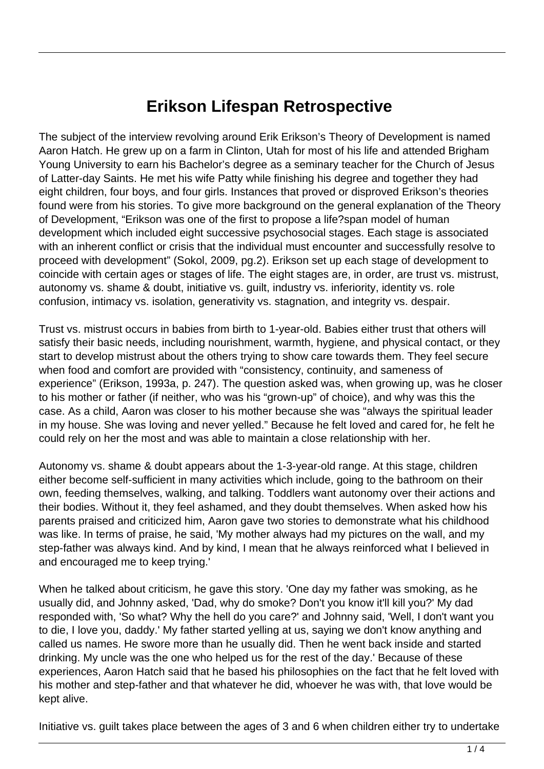## **Erikson Lifespan Retrospective**

The subject of the interview revolving around Erik Erikson's Theory of Development is named Aaron Hatch. He grew up on a farm in Clinton, Utah for most of his life and attended Brigham Young University to earn his Bachelor's degree as a seminary teacher for the Church of Jesus of Latter-day Saints. He met his wife Patty while finishing his degree and together they had eight children, four boys, and four girls. Instances that proved or disproved Erikson's theories found were from his stories. To give more background on the general explanation of the Theory of Development, "Erikson was one of the first to propose a life?span model of human development which included eight successive psychosocial stages. Each stage is associated with an inherent conflict or crisis that the individual must encounter and successfully resolve to proceed with development" (Sokol, 2009, pg.2). Erikson set up each stage of development to coincide with certain ages or stages of life. The eight stages are, in order, are trust vs. mistrust, autonomy vs. shame & doubt, initiative vs. guilt, industry vs. inferiority, identity vs. role confusion, intimacy vs. isolation, generativity vs. stagnation, and integrity vs. despair.

Trust vs. mistrust occurs in babies from birth to 1-year-old. Babies either trust that others will satisfy their basic needs, including nourishment, warmth, hygiene, and physical contact, or they start to develop mistrust about the others trying to show care towards them. They feel secure when food and comfort are provided with "consistency, continuity, and sameness of experience" (Erikson, 1993a, p. 247). The question asked was, when growing up, was he closer to his mother or father (if neither, who was his "grown-up" of choice), and why was this the case. As a child, Aaron was closer to his mother because she was "always the spiritual leader in my house. She was loving and never yelled." Because he felt loved and cared for, he felt he could rely on her the most and was able to maintain a close relationship with her.

Autonomy vs. shame & doubt appears about the 1-3-year-old range. At this stage, children either become self-sufficient in many activities which include, going to the bathroom on their own, feeding themselves, walking, and talking. Toddlers want autonomy over their actions and their bodies. Without it, they feel ashamed, and they doubt themselves. When asked how his parents praised and criticized him, Aaron gave two stories to demonstrate what his childhood was like. In terms of praise, he said, 'My mother always had my pictures on the wall, and my step-father was always kind. And by kind, I mean that he always reinforced what I believed in and encouraged me to keep trying.'

When he talked about criticism, he gave this story. 'One day my father was smoking, as he usually did, and Johnny asked, 'Dad, why do smoke? Don't you know it'll kill you?' My dad responded with, 'So what? Why the hell do you care?' and Johnny said, 'Well, I don't want you to die, I love you, daddy.' My father started yelling at us, saying we don't know anything and called us names. He swore more than he usually did. Then he went back inside and started drinking. My uncle was the one who helped us for the rest of the day.' Because of these experiences, Aaron Hatch said that he based his philosophies on the fact that he felt loved with his mother and step-father and that whatever he did, whoever he was with, that love would be kept alive.

Initiative vs. guilt takes place between the ages of 3 and 6 when children either try to undertake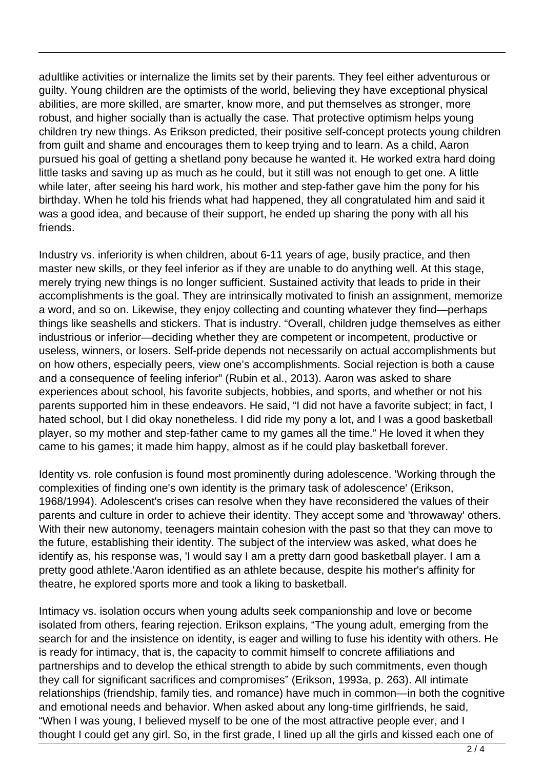adultlike activities or internalize the limits set by their parents. They feel either adventurous or guilty. Young children are the optimists of the world, believing they have exceptional physical abilities, are more skilled, are smarter, know more, and put themselves as stronger, more robust, and higher socially than is actually the case. That protective optimism helps young children try new things. As Erikson predicted, their positive self-concept protects young children from guilt and shame and encourages them to keep trying and to learn. As a child, Aaron pursued his goal of getting a shetland pony because he wanted it. He worked extra hard doing little tasks and saving up as much as he could, but it still was not enough to get one. A little while later, after seeing his hard work, his mother and step-father gave him the pony for his birthday. When he told his friends what had happened, they all congratulated him and said it was a good idea, and because of their support, he ended up sharing the pony with all his friends.

Industry vs. inferiority is when children, about 6-11 years of age, busily practice, and then master new skills, or they feel inferior as if they are unable to do anything well. At this stage, merely trying new things is no longer sufficient. Sustained activity that leads to pride in their accomplishments is the goal. They are intrinsically motivated to finish an assignment, memorize a word, and so on. Likewise, they enjoy collecting and counting whatever they find—perhaps things like seashells and stickers. That is industry. "Overall, children judge themselves as either industrious or inferior—deciding whether they are competent or incompetent, productive or useless, winners, or losers. Self-pride depends not necessarily on actual accomplishments but on how others, especially peers, view one's accomplishments. Social rejection is both a cause and a consequence of feeling inferior" (Rubin et al., 2013). Aaron was asked to share experiences about school, his favorite subjects, hobbies, and sports, and whether or not his parents supported him in these endeavors. He said, "I did not have a favorite subject; in fact, I hated school, but I did okay nonetheless. I did ride my pony a lot, and I was a good basketball player, so my mother and step-father came to my games all the time." He loved it when they came to his games; it made him happy, almost as if he could play basketball forever.

Identity vs. role confusion is found most prominently during adolescence. 'Working through the complexities of finding one's own identity is the primary task of adolescence' (Erikson, 1968/1994). Adolescent's crises can resolve when they have reconsidered the values of their parents and culture in order to achieve their identity. They accept some and 'throwaway' others. With their new autonomy, teenagers maintain cohesion with the past so that they can move to the future, establishing their identity. The subject of the interview was asked, what does he identify as, his response was, 'I would say I am a pretty darn good basketball player. I am a pretty good athlete.'Aaron identified as an athlete because, despite his mother's affinity for theatre, he explored sports more and took a liking to basketball.

Intimacy vs. isolation occurs when young adults seek companionship and love or become isolated from others, fearing rejection. Erikson explains, "The young adult, emerging from the search for and the insistence on identity, is eager and willing to fuse his identity with others. He is ready for intimacy, that is, the capacity to commit himself to concrete affiliations and partnerships and to develop the ethical strength to abide by such commitments, even though they call for significant sacrifices and compromises" (Erikson, 1993a, p. 263). All intimate relationships (friendship, family ties, and romance) have much in common—in both the cognitive and emotional needs and behavior. When asked about any long-time girlfriends, he said, "When I was young, I believed myself to be one of the most attractive people ever, and I thought I could get any girl. So, in the first grade, I lined up all the girls and kissed each one of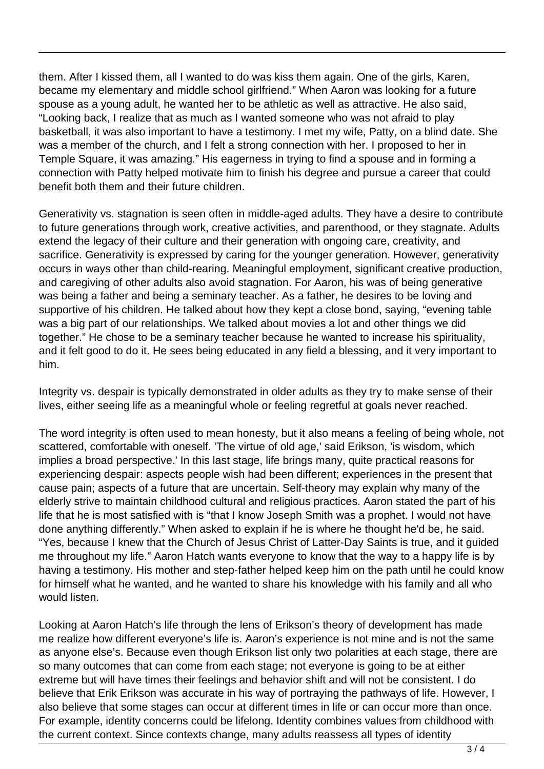them. After I kissed them, all I wanted to do was kiss them again. One of the girls, Karen, became my elementary and middle school girlfriend." When Aaron was looking for a future spouse as a young adult, he wanted her to be athletic as well as attractive. He also said, "Looking back, I realize that as much as I wanted someone who was not afraid to play basketball, it was also important to have a testimony. I met my wife, Patty, on a blind date. She was a member of the church, and I felt a strong connection with her. I proposed to her in Temple Square, it was amazing." His eagerness in trying to find a spouse and in forming a connection with Patty helped motivate him to finish his degree and pursue a career that could benefit both them and their future children.

Generativity vs. stagnation is seen often in middle-aged adults. They have a desire to contribute to future generations through work, creative activities, and parenthood, or they stagnate. Adults extend the legacy of their culture and their generation with ongoing care, creativity, and sacrifice. Generativity is expressed by caring for the younger generation. However, generativity occurs in ways other than child-rearing. Meaningful employment, significant creative production, and caregiving of other adults also avoid stagnation. For Aaron, his was of being generative was being a father and being a seminary teacher. As a father, he desires to be loving and supportive of his children. He talked about how they kept a close bond, saying, "evening table was a big part of our relationships. We talked about movies a lot and other things we did together." He chose to be a seminary teacher because he wanted to increase his spirituality, and it felt good to do it. He sees being educated in any field a blessing, and it very important to him.

Integrity vs. despair is typically demonstrated in older adults as they try to make sense of their lives, either seeing life as a meaningful whole or feeling regretful at goals never reached.

The word integrity is often used to mean honesty, but it also means a feeling of being whole, not scattered, comfortable with oneself. 'The virtue of old age,' said Erikson, 'is wisdom, which implies a broad perspective.' In this last stage, life brings many, quite practical reasons for experiencing despair: aspects people wish had been different; experiences in the present that cause pain; aspects of a future that are uncertain. Self-theory may explain why many of the elderly strive to maintain childhood cultural and religious practices. Aaron stated the part of his life that he is most satisfied with is "that I know Joseph Smith was a prophet. I would not have done anything differently." When asked to explain if he is where he thought he'd be, he said. "Yes, because I knew that the Church of Jesus Christ of Latter-Day Saints is true, and it guided me throughout my life." Aaron Hatch wants everyone to know that the way to a happy life is by having a testimony. His mother and step-father helped keep him on the path until he could know for himself what he wanted, and he wanted to share his knowledge with his family and all who would listen.

Looking at Aaron Hatch's life through the lens of Erikson's theory of development has made me realize how different everyone's life is. Aaron's experience is not mine and is not the same as anyone else's. Because even though Erikson list only two polarities at each stage, there are so many outcomes that can come from each stage; not everyone is going to be at either extreme but will have times their feelings and behavior shift and will not be consistent. I do believe that Erik Erikson was accurate in his way of portraying the pathways of life. However, I also believe that some stages can occur at different times in life or can occur more than once. For example, identity concerns could be lifelong. Identity combines values from childhood with the current context. Since contexts change, many adults reassess all types of identity